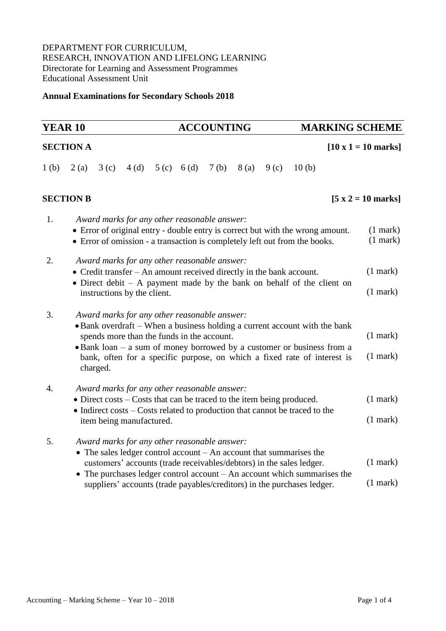## DEPARTMENT FOR CURRICULUM, RESEARCH, INNOVATION AND LIFELONG LEARNING Directorate for Learning and Assessment Programmes Educational Assessment Unit

### **Annual Examinations for Secondary Schools 2018**

## **SECTION A**  $\begin{bmatrix} 10 \text{ x } 1 = 10 \text{ marks} \end{bmatrix}$ 1 (b) 2 (a) 3 (c) 4 (d) 5 (c) 6 (d) 7 (b) 8 (a) 9 (c) 10 (b) **SECTION B**  $[5 \times 2 = 10 \text{ marks}]$ 1. *Award marks for any other reasonable answer:* Error of original entry - double entry is correct but with the wrong amount. Error of omission - a transaction is completely left out from the books. (1 mark) (1 mark) 2. *Award marks for any other reasonable answer:* Credit transfer – An amount received directly in the bank account. • Direct debit – A payment made by the bank on behalf of the client on instructions by the client. (1 mark) (1 mark) 3. *Award marks for any other reasonable answer:* Bank overdraft – When a business holding a current account with the bank spends more than the funds in the account. • Bank loan – a [sum](https://www.collinsdictionary.com/dictionary/english/sum_1) of money [borrowed](https://www.collinsdictionary.com/dictionary/english/borrow) by a [customer](https://www.collinsdictionary.com/dictionary/english/customer) or business from a [bank,](https://www.collinsdictionary.com/dictionary/english/bank) often for a specific purpose, on which a fixed rate of interest is charged. (1 mark) (1 mark) 4. *Award marks for any other reasonable answer:* • Direct costs – Costs that can be traced to the item being produced. • Indirect costs – Costs related to production that cannot be traced to the item being manufactured. (1 mark) (1 mark) 5. *Award marks for any other reasonable answer:* • The sales ledger control account – An account that summarises the customers' accounts (trade receivables/debtors) in the sales ledger. • The purchases ledger control account – An account which summarises the suppliers' accounts (trade payables/creditors) in the purchases ledger. (1 mark) (1 mark)

**YEAR 10 ACCOUNTING MARKING SCHEME**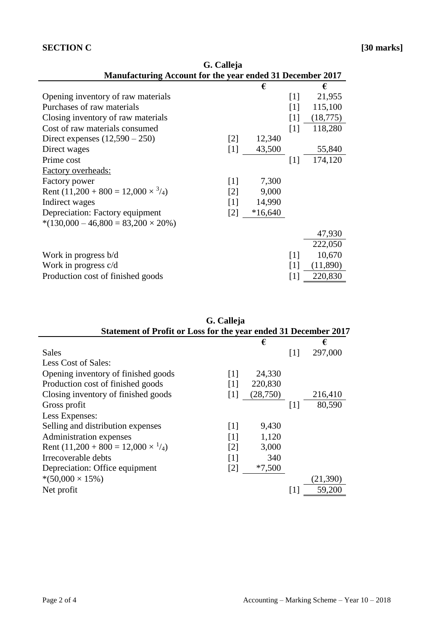## **SECTION C** [30 marks]

| <b>Manufacturing Account for the year ended 31 December 2017</b> |                   |           |                   |           |
|------------------------------------------------------------------|-------------------|-----------|-------------------|-----------|
|                                                                  |                   | €         |                   | €         |
| Opening inventory of raw materials                               |                   |           | $\lceil 1 \rceil$ | 21,955    |
| Purchases of raw materials                                       |                   |           | $\lceil 1 \rceil$ | 115,100   |
| Closing inventory of raw materials                               |                   |           | [1]               | (18, 775) |
| Cost of raw materials consumed                                   |                   |           | $\lceil 1 \rceil$ | 118,280   |
| Direct expenses $(12,590 - 250)$                                 | $\lceil 2 \rceil$ | 12,340    |                   |           |
| Direct wages                                                     | $[1]$             | 43,500    |                   | 55,840    |
| Prime cost                                                       |                   |           | [1]               | 174,120   |
| <b>Factory overheads:</b>                                        |                   |           |                   |           |
| Factory power                                                    | $\lceil 1 \rceil$ | 7,300     |                   |           |
| Rent $(11,200 + 800 = 12,000 \times \frac{3}{4})$                | $\lceil 2 \rceil$ | 9,000     |                   |           |
| Indirect wages                                                   | [1]               | 14,990    |                   |           |
| Depreciation: Factory equipment                                  | $\lceil 2 \rceil$ | $*16,640$ |                   |           |
| $*(130,000 - 46,800 = 83,200 \times 20\%)$                       |                   |           |                   |           |
|                                                                  |                   |           |                   | 47,930    |
|                                                                  |                   |           |                   | 222,050   |
| Work in progress b/d                                             |                   |           | $\lceil 1 \rceil$ | 10,670    |
| Work in progress c/d                                             |                   |           | $\lceil 1 \rceil$ | (11,890)  |
| Production cost of finished goods                                |                   |           | $[1]$             | 220,830   |

| Statement of Profit or Loss for the year ended 31 December 2017 | G. Calleja        |          |                   |          |
|-----------------------------------------------------------------|-------------------|----------|-------------------|----------|
|                                                                 |                   | €        |                   | €        |
| <b>Sales</b>                                                    |                   |          | $\lceil 1 \rceil$ | 297,000  |
| Less Cost of Sales:                                             |                   |          |                   |          |
| Opening inventory of finished goods                             | [1]               | 24,330   |                   |          |
| Production cost of finished goods                               | [1]               | 220,830  |                   |          |
| Closing inventory of finished goods                             | $[1]$             | (28,750) |                   | 216,410  |
| Gross profit                                                    |                   |          | $\lceil 1 \rceil$ | 80,590   |
| Less Expenses:                                                  |                   |          |                   |          |
| Selling and distribution expenses                               | $\lceil 1 \rceil$ | 9,430    |                   |          |
| Administration expenses                                         | [1]               | 1,120    |                   |          |
| Rent $(11,200 + 800 = 12,000 \times \frac{1}{4})$               | [2]               | 3,000    |                   |          |
| Irrecoverable debts                                             | $\lceil 1 \rceil$ | 340      |                   |          |
| Depreciation: Office equipment                                  | $\lceil 2 \rceil$ | $*7,500$ |                   |          |
| $*(50,000 \times 15\%)$                                         |                   |          |                   | (21,390) |
| Net profit                                                      |                   |          |                   | 59,200   |

| G. Calleja                                                |  |
|-----------------------------------------------------------|--|
| Manufacturing Account for the year ended 31 December 2017 |  |
|                                                           |  |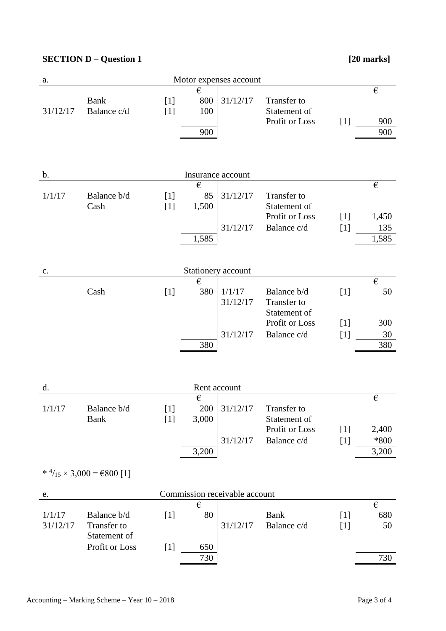# **SECTION D** – **Question 1** [20 marks]

| Motor expenses account<br>a.  |                                                              |                |                           |                          |                                                              |                |                                       |
|-------------------------------|--------------------------------------------------------------|----------------|---------------------------|--------------------------|--------------------------------------------------------------|----------------|---------------------------------------|
| 31/12/17                      | <b>Bank</b><br>Balance c/d                                   | $[1]$<br>$[1]$ | €<br>800<br>100<br>900    | 31/12/17                 | Transfer to<br>Statement of<br>Profit or Loss                | $[1]$          | $\boldsymbol{\epsilon}$<br>900<br>900 |
| b.                            |                                                              |                |                           | Insurance account        |                                                              |                |                                       |
| 1/1/17                        | Balance b/d<br>Cash                                          | $[1]$<br>$[1]$ | €<br>85<br>1,500<br>1,585 | 31/12/17<br>31/12/17     | Transfer to<br>Statement of<br>Profit or Loss<br>Balance c/d | $[1]$<br>$[1]$ | €<br>1,450<br>135<br>1,585            |
| $\mathbf{c}$ .                |                                                              |                |                           | Stationery account       |                                                              |                |                                       |
|                               | Cash                                                         | $[1]$          | €<br>380                  | 1/1/17<br>31/12/17       | Balance b/d<br>Transfer to<br>Statement of                   | $[1]$          | $\boldsymbol{\epsilon}$<br>50         |
|                               |                                                              |                | 380                       | 31/12/17                 | Profit or Loss<br>Balance c/d                                | $[1]$<br>$[1]$ | 300<br>30<br>380                      |
| d.                            |                                                              |                | Rent account<br>€         |                          |                                                              |                | $\boldsymbol{\epsilon}$               |
| 1/1/17                        | Balance b/d<br>Bank                                          | $[1]$<br>$[1]$ | 3,000                     | 200 31/12/17<br>31/12/17 | Transfer to<br>Statement of<br>Profit or Loss<br>Balance c/d | $[1]$<br>$[1]$ | 2,400<br>$*800$                       |
|                               | * $\frac{4}{15}$ × 3,000 = €800 [1]                          |                | 3,200                     |                          |                                                              |                | 3,200                                 |
| Commission receivable account |                                                              |                |                           |                          |                                                              |                |                                       |
| e.<br>1/1/17<br>31/12/17      | Balance b/d<br>Transfer to<br>Statement of<br>Profit or Loss | $[1]$<br>$[1]$ | €<br>80<br>650            | 31/12/17                 | <b>Bank</b><br>Balance c/d                                   | $[1]$<br>$[1]$ | €<br>680<br>50                        |
|                               |                                                              |                | 730                       |                          |                                                              |                | 730                                   |